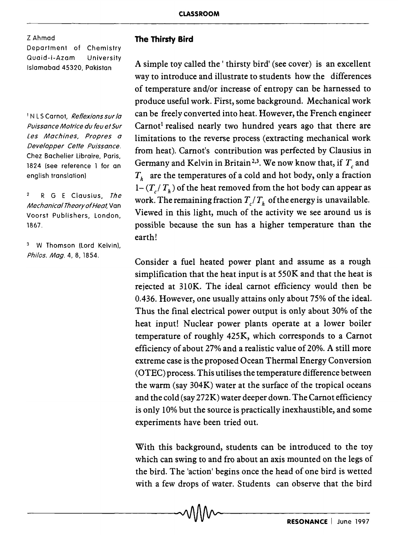Z Ahmad Department of Chemistry Quaid-i-Azam University Islamabad 45320, Pakistan

<sup>1</sup> N L S Carnot, Reflexions sur la Puissance Mofrice du feu ef Sur Les Machines, Propres a Deve/opper Ceffe Puissance. Chez Bachelier Ubraire, Paris, 1824 (see reference 1 for an english translation)

 $\mathbf{2}$ R G E Clausius, The Mechanical Theory of Heat. Van Voorst Publishers, London, 1867.

<sup>3</sup> W Thomson (Lord Kelvin). Phi/os. Mag. 4, 8, 1854.

## **The Thirsty Bird**

A simple toy called the' thirsty bird' (see cover) is an excellent way to introduce and illustrate to students how the differences of temperature and/or increase of entropy can be harnessed to produce useful work. First, some background. Mechanical work can be freely converted into heat. However, the French engineer Carnot<sup>1</sup> realised nearly two hundred years ago that there are limitations to the reverse process (extracting mechanical work from heat). Carnot's contribution was perfected by Clausius in Germany and Kelvin in Britain<sup>2,3</sup>. We now know that, if  $T<sub>c</sub>$  and *Th* are the temperatures of a cold and hot body, only a fraction  $1 - (T / T_h)$  of the heat removed from the hot body can appear as work. The remaining fraction  $T/T_h$  of the energy is unavailable. Viewed in this light, much of the activity we see around us is possible because the sun has a higher temperature than the earth!

Consider a fuel heated power plant and assume as a rough simplification that the heat input is at 550K and that the heat is rejected at 310K. The ideal carnot efficiency would then be 0.436. However, one usually attains only about 75% of the ideal. Thus the final electrical power output is only about 30% of the heat input! Nuclear power plants operate at a lower boiler temperature of roughly 425K, which corresponds to a Carnot efficiency of about 27% and a realistic value of 20%. A still more extreme case is the proposed Ocean Thermal Energy Conversion (OTEC) process. This utilises the temperature difference between the warm (say 304K) water at the surface of the tropical oceans and the cold (say 272K) water deeper down. The Carnot efficiency is only 10% but the source is practically inexhaustible, and some experiments have been tried out.

With this background, students can be introduced to the toy which can swing to and fro about an axis mounted on the legs of the bird. The 'action' begins once the head of one bird is wetted with a few drops of water. Students can observe that the bird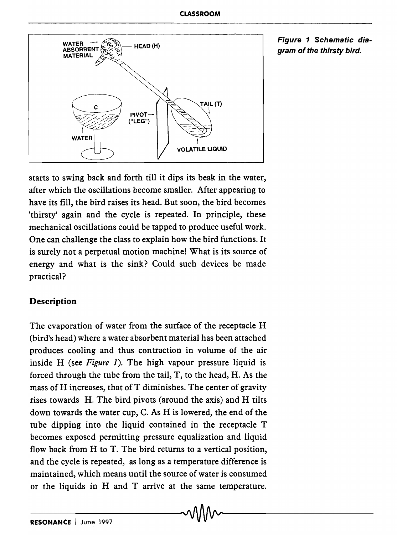

Figure 1 Schematic diagram of the thirsty bird.

starts to swing back and forth till it dips its beak in the water, after which the oscillations become smaller. After appearing to have its fill, the bird raises its head. But soon, the bird becomes 'thirsty' again and the cycle is repeated. In principle, these mechanical oscillations could be tapped to produce useful work. One can challenge the class to explain how the bird functions. It is surely not a perpetual motion machine! What is its source of energy and what is the sink? Could such devices be made practical?

## Description

The evaporation of water from the surface of the receptacle H (bird's head) where a water absorbent material has been attached produces cooling and thus contraction in volume of the air inside H (see *Figure* 1). The high vapour pressure liquid is forced through the tube from the tail, T, to the head, H. As the mass of H increases, that of T diminishes. The center of gravity rises towards H. The bird pivots (around the axis) and H tilts down towards the water cup, C. As H is lowered, the end of the tube dipping into the liquid contained in the receptacle T becomes exposed permitting pressure equalization and liquid flow back from H to T. The bird returns to a vertical position, and the cycle is repeated, as long as a temperature difference is maintained, which means until the source of water is consumed or the liquids in Hand T arrive at the same temperature.